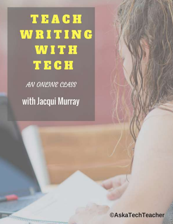# TEACH WRITING WITH TECH

AN ONLINE CLASS with Jacqui Murray

**TYTTTTTT** 

**©AskaTechTeacher**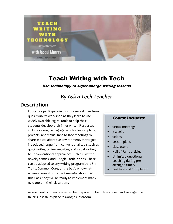

## Teach Writing with Tech

Use technology to super-charge writing lessons

### *By Ask a Tech Teacher*

#### **Description**

Educators participate in this three-week hands-on quasi-writer's workshop as they learn to use widely-available digital tools to help their students develop their inner writer. Resources include videos, pedagogic articles, lesson plans, projects, and virtual face-to-face meetings to share in a collaborative environment. Strategies introduced range from conventional tools such as quick writes, online websites, and visual writing to unconventional approaches such as Twitter novels, comics, and Google Earth lit trips. These can be adapted to any writing program be it 6+1 Traits, Common Core, or the basic who-whatwhen-where-why. By the time educators finish this class, they will be ready to implement many new tools in their classroom.

#### **Course includes:**

- virtual meetings
- 3 weeks
- videos
- Lesson plans
- class etext
- Hall of Fame articles
- Unlimited questions/ coaching during prearranged times.
- Certificate of Completion

Assessment is project-based so be prepared to be fully-involved and an eager risktaker. Class takes place in Google Classroom.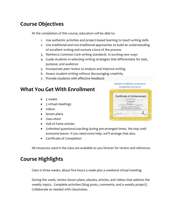## **Course Objectives**

At the completion of this course, educators will be able to:

- 1. Use authentic activities and project-based learning to teach writing skills
- 2. Use traditional and non-traditional approaches to build an understanding of excellent writing and nurture a love of the process
- 3. Reinforce Common Core writing standards in exciting new ways
- 4. Guide students in selecting writing strategies that differentiate for task, purpose, and audience
- 5. Incorporate peer review to analyze and improve writing
- 6. Assess student writing without discouraging creativity
- 7. Provide students with effective feedback

#### **What You Get With Enrollment**

- 3 weeks
- 3 virtual meetings
- videos
- lesson plans
- class etext
- Hall of Fame articles
- Unlimited questions/coaching during pre-arranged times. We stay until everyone leaves. If you need extra help, we'll arrange that also.
- Certificate of Completion

All resources used in the class are available to you forever for review and reference.

#### **Course Highlights**

Class is three weeks, about five hours a week plus a weekend virtual meeting.

During the week, review lesson plans, ebooks, articles, and videos that address the weekly topics. Complete activities (blog posts, comments, and a weekly project). Collaborate as needed with classmates.

| Certificate of Achievement |  |
|----------------------------|--|
| <b>GERMANY</b>             |  |
| Presented to               |  |
|                            |  |
|                            |  |
| 2015 Summer PD (18 Hours)  |  |
|                            |  |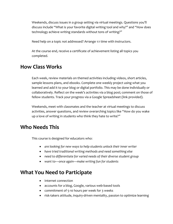Weekends, discuss issues in a group setting via virtual meetings. Questions you'll discuss include "What is your favorite digital writing tool and why?" and "How does technology achieve writing standards without tons of writing?"

Need help on a topic not addressed? Arrange 1:1 time with instructors.

At the course end, receive a certificate of achievement listing all topics you completed.

#### **How Class Works**

Each week, review materials on themed activities including videos, short articles, sample lessons plans, and ebooks. Complete one weekly project using what you learned and add it to your blog or digital portfolio. This may be done individually or collaboratively. Reflect on the week's activities via a blog post; comment on those of fellow students. Track your progress via a Google Spreadsheet (link provided).

Weekends, meet with classmates and the teacher at virtual meetings to discuss activities, answer questions, and review overarching topics like "How do you wake up a love of writing in students who think they hate to write?"

#### **Who Needs This**

This course is designed for educators who:

- *are looking for new ways to help students unlock their inner writer*
- *have tried traditional writing methods and need something else*
- *need to differentiate for varied needs of their diverse student group*
- *want to—once again—make writing fun for students*

#### **What You Need to Participate**

- Internet connection
- accounts for a blog, Google, various web-based tools
- commitment of 5-10 hours per week for 3 weeks
- risk-takers attitude, inquiry-driven mentality, passion to optimize learning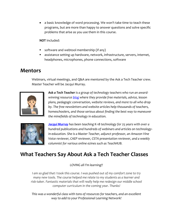• a basic knowledge of word processing. We won't take time to teach these programs, but are more than happy to answer questions and solve specific problems that arise as you use them in this course.

**NOT** Included:

- software and webtool membership (if any)
- assistance setting up hardware, network, infrastructure, servers, internet, headphones, microphones, phone connections, software

#### **Mentors**

Webinars, virtual meetings, and Q&A are mentored by the Ask a Tech Teacher crew. Master Teacher will be Jacqui Murray.



*Ask a Tech Teacher is a group of technology teachers who run an awardwinning resourc[e blog](http://askatechteacher.com/) where they provide free materials, advice, lesson plans, pedagogic conversation, website reviews, and more to all who drop by. The free newsletters and website articles help thousands of teachers, homeschoolers, and those serious about finding the best way to maneuver the minefields of technology in education.*



*[Jacqui Murray](http://jacquimurray.net/) has been teaching K-18 technology for 25 years with over a hundred publications and hundreds of webinars and articles on technologyin-education. She is a Master Teacher, adjunct professor, an Amazon Vine Voice reviewer, CAEP reviewer, CSTA presentation reviewer, and a weekly columnist for various online ezines such as TeachHUB.* 

## **What Teachers Say About Ask a Tech Teacher Classes**

*LOVING all I'm learning!!*

*I am so glad that I took this course. I was pushed out of my comfort zone to try many new tools. The course helped me relate to my students as a learner and risk-taker. Fantastic materials that will really help me redesign our middle school computer curriculum in the coming year. Thanks!*

*This was a wonderful class with tons of resources for teachers, and an excellent way to add to your Professional Learning Network!*